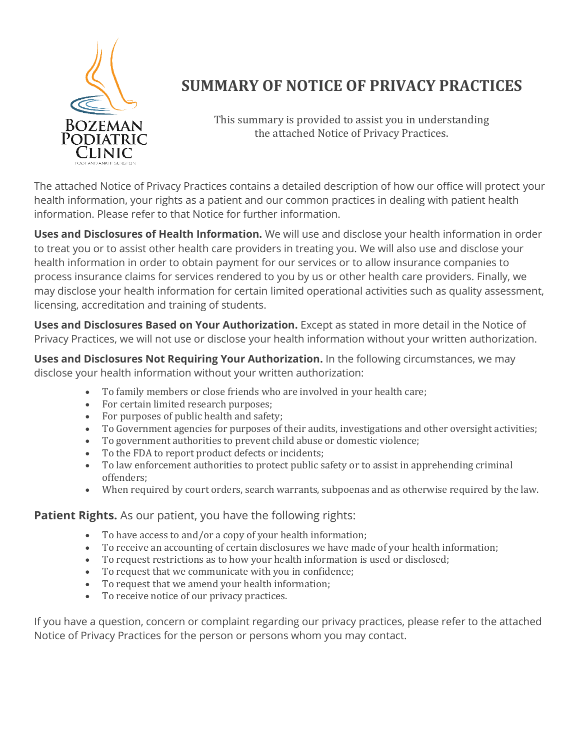

## **SUMMARY OF NOTICE OF PRIVACY PRACTICES**

This summary is provided to assist you in understanding the attached Notice of Privacy Practices.

The attached Notice of Privacy Practices contains a detailed description of how our office will protect your health information, your rights as a patient and our common practices in dealing with patient health information. Please refer to that Notice for further information.

**Uses and Disclosures of Health Information.** We will use and disclose your health information in order to treat you or to assist other health care providers in treating you. We will also use and disclose your health information in order to obtain payment for our services or to allow insurance companies to process insurance claims for services rendered to you by us or other health care providers. Finally, we may disclose your health information for certain limited operational activities such as quality assessment, licensing, accreditation and training of students.

**Uses and Disclosures Based on Your Authorization.** Except as stated in more detail in the Notice of Privacy Practices, we will not use or disclose your health information without your written authorization.

**Uses and Disclosures Not Requiring Your Authorization.** In the following circumstances, we may disclose your health information without your written authorization:

- To family members or close friends who are involved in your health care;
- For certain limited research purposes;
- For purposes of public health and safety;
- To Government agencies for purposes of their audits, investigations and other oversight activities;
- To government authorities to prevent child abuse or domestic violence;
- To the FDA to report product defects or incidents;
- To law enforcement authorities to protect public safety or to assist in apprehending criminal offenders;
- When required by court orders, search warrants, subpoenas and as otherwise required by the law.

#### **Patient Rights.** As our patient, you have the following rights:

- To have access to and/or a copy of your health information;
- To receive an accounting of certain disclosures we have made of your health information;
- To request restrictions as to how your health information is used or disclosed;
- To request that we communicate with you in confidence;
- To request that we amend your health information;
- To receive notice of our privacy practices.

If you have a question, concern or complaint regarding our privacy practices, please refer to the attached Notice of Privacy Practices for the person or persons whom you may contact.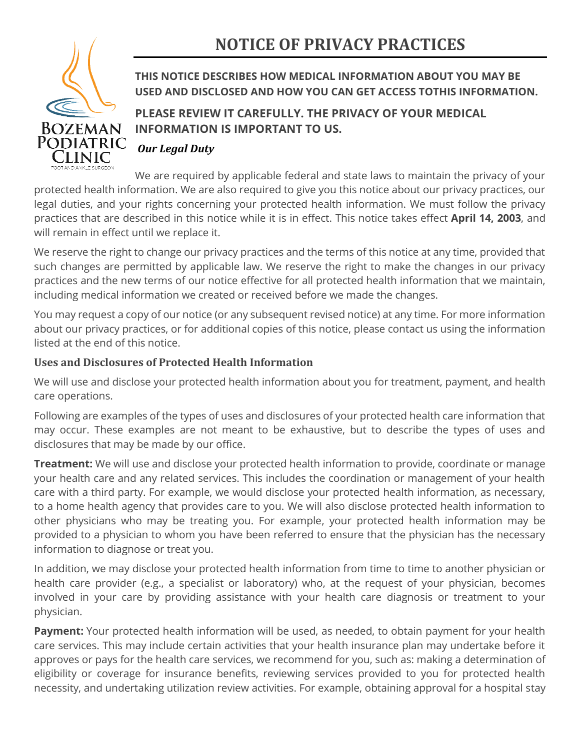# **NOTICE OF PRIVACY PRACTICES**



## **THIS NOTICE DESCRIBES HOW MEDICAL INFORMATION ABOUT YOU MAY BE USED AND DISCLOSED AND HOW YOU CAN GET ACCESS TOTHIS INFORMATION.**

## **PLEASE REVIEW IT CAREFULLY. THE PRIVACY OF YOUR MEDICAL INFORMATION IS IMPORTANT TO US.**

### *Our Legal Duty*

We are required by applicable federal and state laws to maintain the privacy of your protected health information. We are also required to give you this notice about our privacy practices, our legal duties, and your rights concerning your protected health information. We must follow the privacy practices that are described in this notice while it is in effect. This notice takes effect **April 14, 2003**, and will remain in effect until we replace it.

We reserve the right to change our privacy practices and the terms of this notice at any time, provided that such changes are permitted by applicable law. We reserve the right to make the changes in our privacy practices and the new terms of our notice effective for all protected health information that we maintain, including medical information we created or received before we made the changes.

You may request a copy of our notice (or any subsequent revised notice) at any time. For more information about our privacy practices, or for additional copies of this notice, please contact us using the information listed at the end of this notice.

### **Uses and Disclosures of Protected Health Information**

We will use and disclose your protected health information about you for treatment, payment, and health care operations.

Following are examples of the types of uses and disclosures of your protected health care information that may occur. These examples are not meant to be exhaustive, but to describe the types of uses and disclosures that may be made by our office.

**Treatment:** We will use and disclose your protected health information to provide, coordinate or manage your health care and any related services. This includes the coordination or management of your health care with a third party. For example, we would disclose your protected health information, as necessary, to a home health agency that provides care to you. We will also disclose protected health information to other physicians who may be treating you. For example, your protected health information may be provided to a physician to whom you have been referred to ensure that the physician has the necessary information to diagnose or treat you.

In addition, we may disclose your protected health information from time to time to another physician or health care provider (e.g., a specialist or laboratory) who, at the request of your physician, becomes involved in your care by providing assistance with your health care diagnosis or treatment to your physician.

**Payment:** Your protected health information will be used, as needed, to obtain payment for your health care services. This may include certain activities that your health insurance plan may undertake before it approves or pays for the health care services, we recommend for you, such as: making a determination of eligibility or coverage for insurance benefits, reviewing services provided to you for protected health necessity, and undertaking utilization review activities. For example, obtaining approval for a hospital stay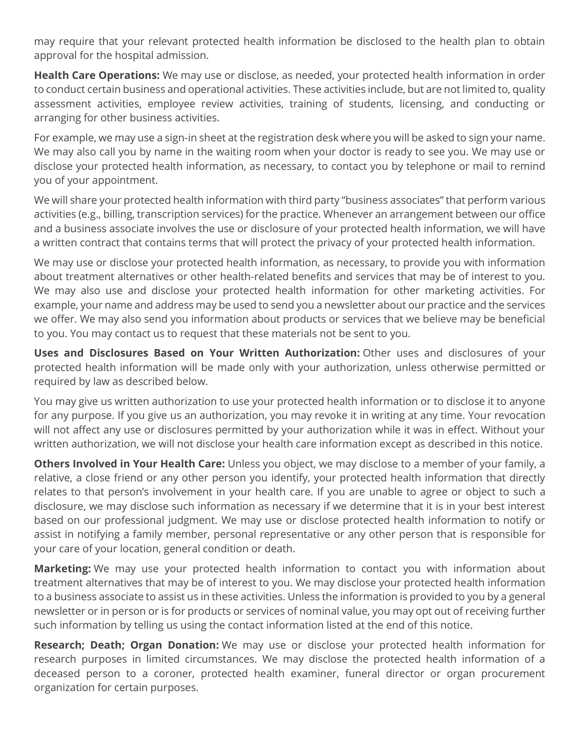may require that your relevant protected health information be disclosed to the health plan to obtain approval for the hospital admission.

**Health Care Operations:** We may use or disclose, as needed, your protected health information in order to conduct certain business and operational activities. These activities include, but are not limited to, quality assessment activities, employee review activities, training of students, licensing, and conducting or arranging for other business activities.

For example, we may use a sign-in sheet at the registration desk where you will be asked to sign your name. We may also call you by name in the waiting room when your doctor is ready to see you. We may use or disclose your protected health information, as necessary, to contact you by telephone or mail to remind you of your appointment.

We will share your protected health information with third party "business associates" that perform various activities (e.g., billing, transcription services) for the practice. Whenever an arrangement between our office and a business associate involves the use or disclosure of your protected health information, we will have a written contract that contains terms that will protect the privacy of your protected health information.

We may use or disclose your protected health information, as necessary, to provide you with information about treatment alternatives or other health-related benefits and services that may be of interest to you. We may also use and disclose your protected health information for other marketing activities. For example, your name and address may be used to send you a newsletter about our practice and the services we offer. We may also send you information about products or services that we believe may be beneficial to you. You may contact us to request that these materials not be sent to you.

**Uses and Disclosures Based on Your Written Authorization:** Other uses and disclosures of your protected health information will be made only with your authorization, unless otherwise permitted or required by law as described below.

You may give us written authorization to use your protected health information or to disclose it to anyone for any purpose. If you give us an authorization, you may revoke it in writing at any time. Your revocation will not affect any use or disclosures permitted by your authorization while it was in effect. Without your written authorization, we will not disclose your health care information except as described in this notice.

**Others Involved in Your Health Care:** Unless you object, we may disclose to a member of your family, a relative, a close friend or any other person you identify, your protected health information that directly relates to that person's involvement in your health care. If you are unable to agree or object to such a disclosure, we may disclose such information as necessary if we determine that it is in your best interest based on our professional judgment. We may use or disclose protected health information to notify or assist in notifying a family member, personal representative or any other person that is responsible for your care of your location, general condition or death.

**Marketing:** We may use your protected health information to contact you with information about treatment alternatives that may be of interest to you. We may disclose your protected health information to a business associate to assist us in these activities. Unless the information is provided to you by a general newsletter or in person or is for products or services of nominal value, you may opt out of receiving further such information by telling us using the contact information listed at the end of this notice.

**Research; Death; Organ Donation:** We may use or disclose your protected health information for research purposes in limited circumstances. We may disclose the protected health information of a deceased person to a coroner, protected health examiner, funeral director or organ procurement organization for certain purposes.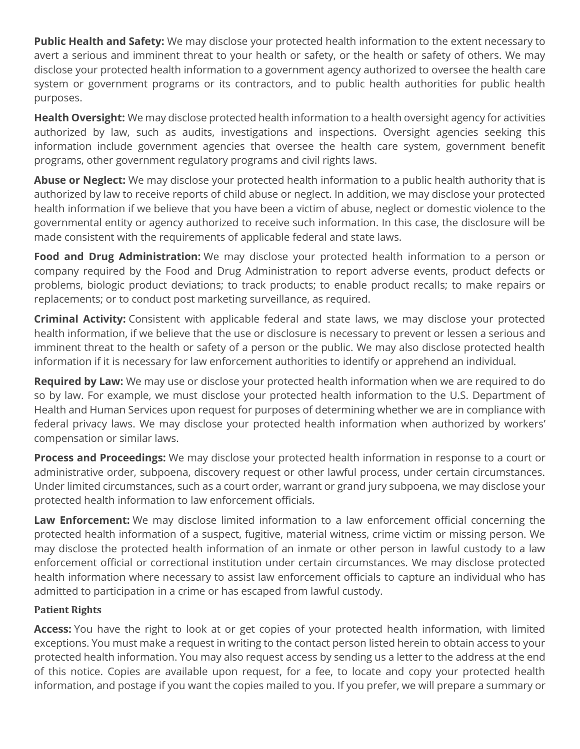**Public Health and Safety:** We may disclose your protected health information to the extent necessary to avert a serious and imminent threat to your health or safety, or the health or safety of others. We may disclose your protected health information to a government agency authorized to oversee the health care system or government programs or its contractors, and to public health authorities for public health purposes.

**Health Oversight:** We may disclose protected health information to a health oversight agency for activities authorized by law, such as audits, investigations and inspections. Oversight agencies seeking this information include government agencies that oversee the health care system, government benefit programs, other government regulatory programs and civil rights laws.

**Abuse or Neglect:** We may disclose your protected health information to a public health authority that is authorized by law to receive reports of child abuse or neglect. In addition, we may disclose your protected health information if we believe that you have been a victim of abuse, neglect or domestic violence to the governmental entity or agency authorized to receive such information. In this case, the disclosure will be made consistent with the requirements of applicable federal and state laws.

**Food and Drug Administration:** We may disclose your protected health information to a person or company required by the Food and Drug Administration to report adverse events, product defects or problems, biologic product deviations; to track products; to enable product recalls; to make repairs or replacements; or to conduct post marketing surveillance, as required.

**Criminal Activity:** Consistent with applicable federal and state laws, we may disclose your protected health information, if we believe that the use or disclosure is necessary to prevent or lessen a serious and imminent threat to the health or safety of a person or the public. We may also disclose protected health information if it is necessary for law enforcement authorities to identify or apprehend an individual.

**Required by Law:** We may use or disclose your protected health information when we are required to do so by law. For example, we must disclose your protected health information to the U.S. Department of Health and Human Services upon request for purposes of determining whether we are in compliance with federal privacy laws. We may disclose your protected health information when authorized by workers' compensation or similar laws.

**Process and Proceedings:** We may disclose your protected health information in response to a court or administrative order, subpoena, discovery request or other lawful process, under certain circumstances. Under limited circumstances, such as a court order, warrant or grand jury subpoena, we may disclose your protected health information to law enforcement officials.

**Law Enforcement:** We may disclose limited information to a law enforcement official concerning the protected health information of a suspect, fugitive, material witness, crime victim or missing person. We may disclose the protected health information of an inmate or other person in lawful custody to a law enforcement official or correctional institution under certain circumstances. We may disclose protected health information where necessary to assist law enforcement officials to capture an individual who has admitted to participation in a crime or has escaped from lawful custody.

#### **Patient Rights**

**Access:** You have the right to look at or get copies of your protected health information, with limited exceptions. You must make a request in writing to the contact person listed herein to obtain access to your protected health information. You may also request access by sending us a letter to the address at the end of this notice. Copies are available upon request, for a fee, to locate and copy your protected health information, and postage if you want the copies mailed to you. If you prefer, we will prepare a summary or